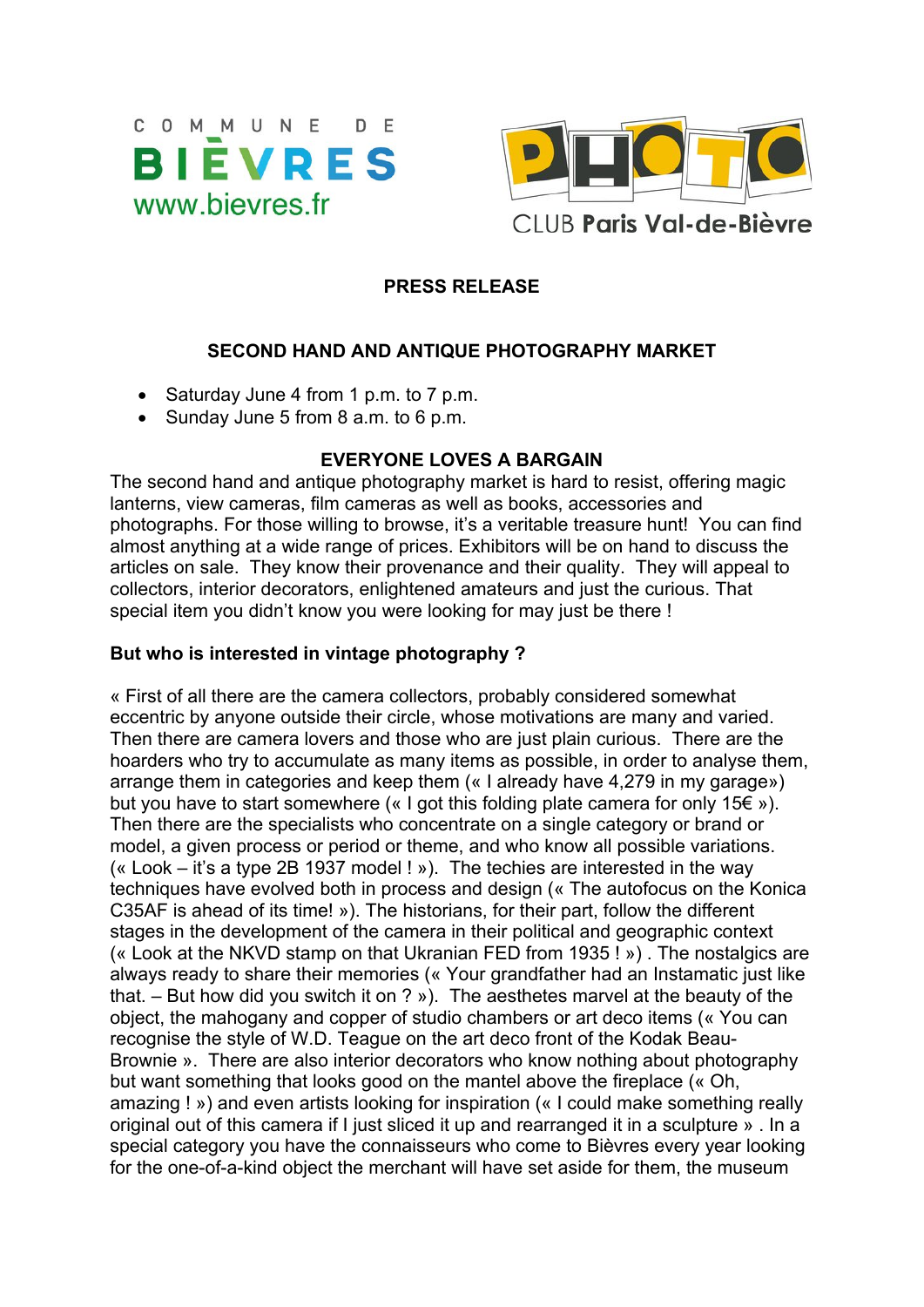



### **PRESS RELEASE**

### **SECOND HAND AND ANTIQUE PHOTOGRAPHY MARKET**

- Saturday June 4 from 1 p.m. to 7 p.m.
- Sunday June 5 from  $8$  a.m. to  $6$  p.m.

### **EVERYONE LOVES A BARGAIN**

The second hand and antique photography market is hard to resist, offering magic lanterns, view cameras, film cameras as well as books, accessories and photographs. For those willing to browse, it's a veritable treasure hunt! You can find almost anything at a wide range of prices. Exhibitors will be on hand to discuss the articles on sale. They know their provenance and their quality. They will appeal to collectors, interior decorators, enlightened amateurs and just the curious. That special item you didn't know you were looking for may just be there !

### **But who is interested in vintage photography ?**

« First of all there are the camera collectors, probably considered somewhat eccentric by anyone outside their circle, whose motivations are many and varied. Then there are camera lovers and those who are just plain curious. There are the hoarders who try to accumulate as many items as possible, in order to analyse them, arrange them in categories and keep them (« I already have 4,279 in my garage») but you have to start somewhere (« I got this folding plate camera for only 15 $\epsilon$  »). Then there are the specialists who concentrate on a single category or brand or model, a given process or period or theme, and who know all possible variations. (« Look – it's a type 2B 1937 model ! »). The techies are interested in the way techniques have evolved both in process and design (« The autofocus on the Konica C35AF is ahead of its time! »). The historians, for their part, follow the different stages in the development of the camera in their political and geographic context (« Look at the NKVD stamp on that Ukranian FED from 1935 ! ») . The nostalgics are always ready to share their memories (« Your grandfather had an Instamatic just like that. – But how did you switch it on ? »). The aesthetes marvel at the beauty of the object, the mahogany and copper of studio chambers or art deco items (« You can recognise the style of W.D. Teague on the art deco front of the Kodak Beau-Brownie ». There are also interior decorators who know nothing about photography but want something that looks good on the mantel above the fireplace (« Oh, amazing ! ») and even artists looking for inspiration (« I could make something really original out of this camera if I just sliced it up and rearranged it in a sculpture » . In a special category you have the connaisseurs who come to Bièvres every year looking for the one-of-a-kind object the merchant will have set aside for them, the museum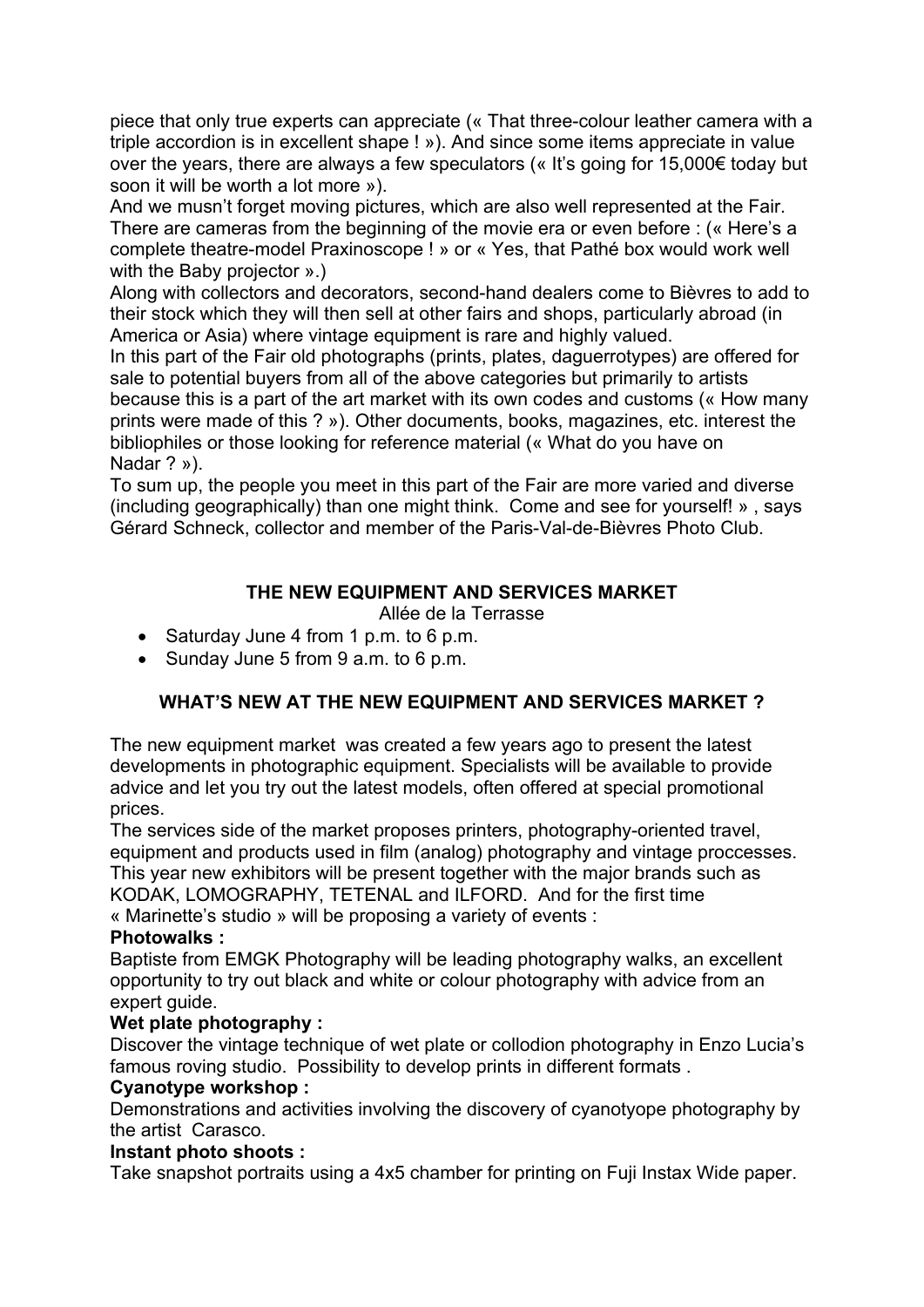piece that only true experts can appreciate (« That three-colour leather camera with a triple accordion is in excellent shape ! »). And since some items appreciate in value over the years, there are always a few speculators (« It's going for 15,000€ today but soon it will be worth a lot more »).

And we musn't forget moving pictures, which are also well represented at the Fair. There are cameras from the beginning of the movie era or even before : (« Here's a complete theatre-model Praxinoscope ! » or « Yes, that Pathé box would work well with the Baby projector ».)

Along with collectors and decorators, second-hand dealers come to Bièvres to add to their stock which they will then sell at other fairs and shops, particularly abroad (in America or Asia) where vintage equipment is rare and highly valued.

In this part of the Fair old photographs (prints, plates, daguerrotypes) are offered for sale to potential buyers from all of the above categories but primarily to artists because this is a part of the art market with its own codes and customs (« How many prints were made of this ? »). Other documents, books, magazines, etc. interest the bibliophiles or those looking for reference material (« What do you have on Nadar ? »).

To sum up, the people you meet in this part of the Fair are more varied and diverse (including geographically) than one might think. Come and see for yourself! » , says Gérard Schneck, collector and member of the Paris-Val-de-Bièvres Photo Club.

# **THE NEW EQUIPMENT AND SERVICES MARKET**

Allée de la Terrasse

- Saturday June 4 from 1 p.m. to 6 p.m.
- Sunday June 5 from 9 a.m. to 6 p.m.

# **WHAT'S NEW AT THE NEW EQUIPMENT AND SERVICES MARKET ?**

The new equipment market was created a few years ago to present the latest developments in photographic equipment. Specialists will be available to provide advice and let you try out the latest models, often offered at special promotional prices.

The services side of the market proposes printers, photography-oriented travel, equipment and products used in film (analog) photography and vintage proccesses. This year new exhibitors will be present together with the major brands such as KODAK, LOMOGRAPHY, TETENAL and ILFORD. And for the first time « Marinette's studio » will be proposing a variety of events :

#### **Photowalks :**

Baptiste from EMGK Photography will be leading photography walks, an excellent opportunity to try out black and white or colour photography with advice from an expert quide.

## **Wet plate photography :**

Discover the vintage technique of wet plate or collodion photography in Enzo Lucia's famous roving studio. Possibility to develop prints in different formats .

#### **Cyanotype workshop :**

Demonstrations and activities involving the discovery of cyanotyope photography by the artist Carasco.

#### **Instant photo shoots :**

Take snapshot portraits using a 4x5 chamber for printing on Fuji Instax Wide paper.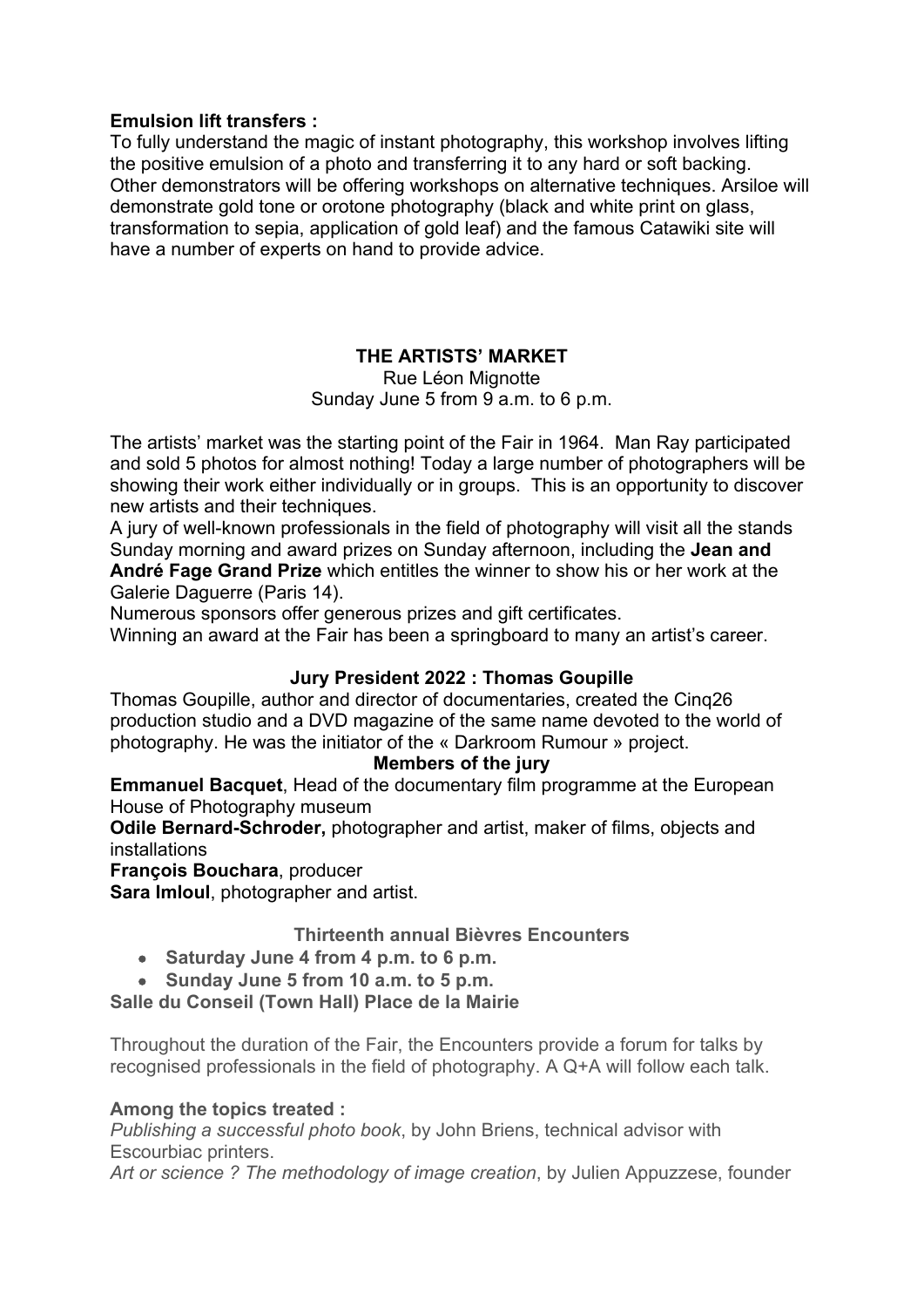### **Emulsion lift transfers :**

To fully understand the magic of instant photography, this workshop involves lifting the positive emulsion of a photo and transferring it to any hard or soft backing. Other demonstrators will be offering workshops on alternative techniques. Arsiloe will demonstrate gold tone or orotone photography (black and white print on glass, transformation to sepia, application of gold leaf) and the famous Catawiki site will have a number of experts on hand to provide advice.

## **THE ARTISTS' MARKET**

Rue Léon Mignotte Sunday June 5 from 9 a.m. to 6 p.m.

The artists' market was the starting point of the Fair in 1964. Man Ray participated and sold 5 photos for almost nothing! Today a large number of photographers will be showing their work either individually or in groups. This is an opportunity to discover new artists and their techniques.

A jury of well-known professionals in the field of photography will visit all the stands Sunday morning and award prizes on Sunday afternoon, including the **Jean and André Fage Grand Prize** which entitles the winner to show his or her work at the Galerie Daguerre (Paris 14).

Numerous sponsors offer generous prizes and gift certificates.

Winning an award at the Fair has been a springboard to many an artist's career.

## **Jury President 2022 : Thomas Goupille**

Thomas Goupille, author and director of documentaries, created the Cinq26 production studio and a DVD magazine of the same name devoted to the world of photography. He was the initiator of the « Darkroom Rumour » project.

#### **Members of the jury**

**Emmanuel Bacquet**, Head of the documentary film programme at the European House of Photography museum

**Odile Bernard-Schroder,** photographer and artist, maker of films, objects and installations

**François Bouchara**, producer

**Sara Imloul**, photographer and artist.

## **Thirteenth annual Bièvres Encounters**

- **Saturday June 4 from 4 p.m. to 6 p.m.**
- **Sunday June 5 from 10 a.m. to 5 p.m.**

**Salle du Conseil (Town Hall) Place de la Mairie**

Throughout the duration of the Fair, the Encounters provide a forum for talks by recognised professionals in the field of photography. A Q+A will follow each talk.

## **Among the topics treated :**

*Publishing a successful photo book*, by John Briens, technical advisor with Escourbiac printers.

*Art or science ? The methodology of image creation*, by Julien Appuzzese, founder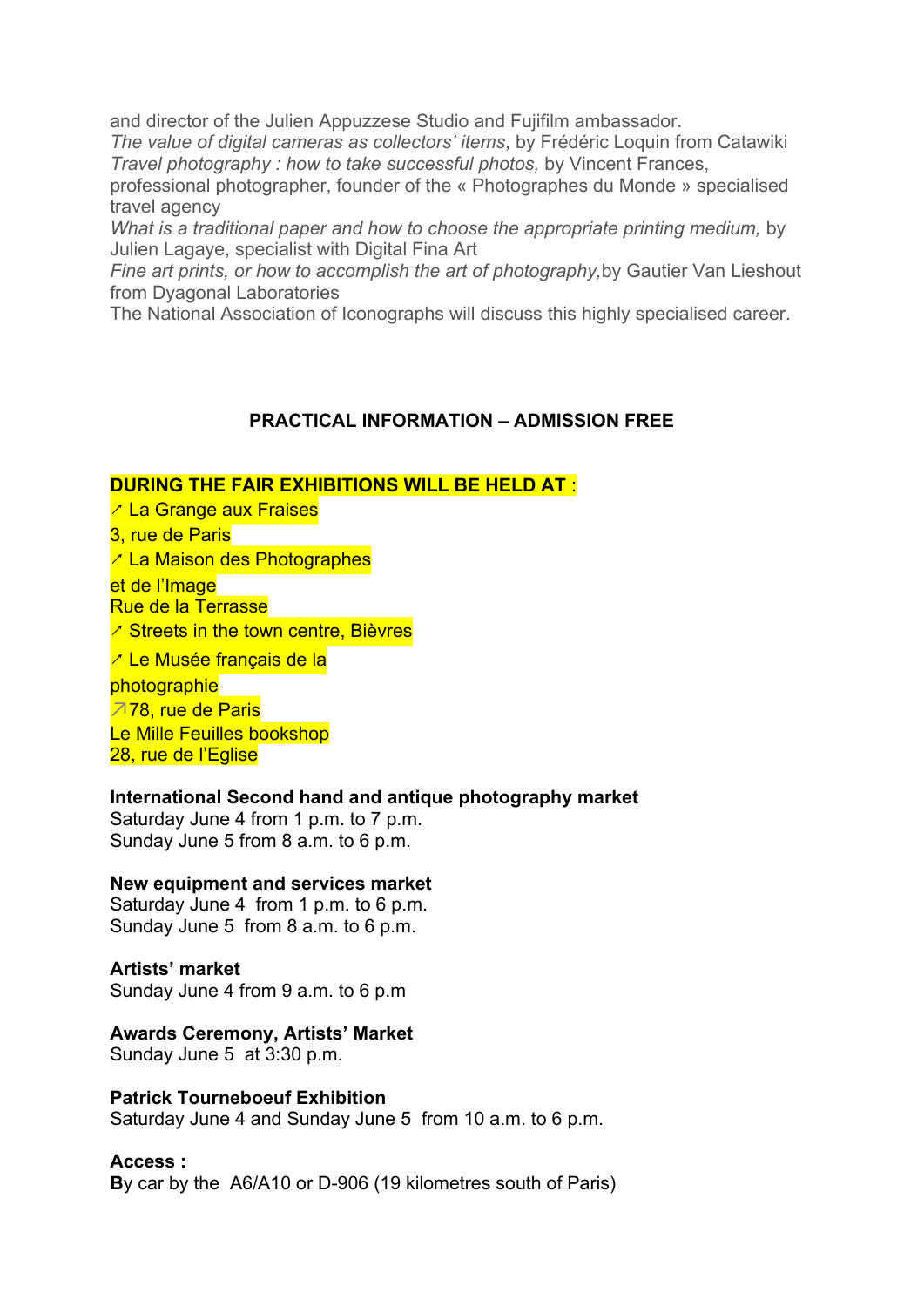and director of the Julien Appuzzese Studio and Fujifilm ambassador.

*The value of digital cameras as collectors' items*, by Frédéric Loquin from Catawiki *Travel photography : how to take successful photos,* by Vincent Frances,

professional photographer, founder of the « Photographes du Monde » specialised travel agency

*What is a traditional paper and how to choose the appropriate printing medium,* by Julien Lagaye, specialist with Digital Fina Art

*Fine art prints, or how to accomplish the art of photography,*by Gautier Van Lieshout from Dyagonal Laboratories

The National Association of Iconographs will discuss this highly specialised career.

### **PRACTICAL INFORMATION – ADMISSION FREE**

#### **DURING THE FAIR EXHIBITIONS WILL BE HELD AT** :

- ↗ La Grange aux Fraises
- 3, rue de Paris
- ↗ La Maison des Photographes
- et de l'Image

Rue de la Terrasse

- ↗ Streets in the town centre, Bièvres
- ↗ Le Musée français de la

photographie

↗78, rue de Paris

Le Mille Feuilles bookshop

28, rue de l'Eglise

#### **International Second hand and antique photography market**

Saturday June 4 from 1 p.m. to 7 p.m. Sunday June 5 from 8 a.m. to 6 p.m.

#### **New equipment and services market**

Saturday June 4 from 1 p.m. to 6 p.m. Sunday June 5 from 8 a.m. to 6 p.m.

#### **Artists' market**

Sunday June 4 from 9 a.m. to 6 p.m

#### **Awards Ceremony, Artists' Market**

Sunday June 5 at 3:30 p.m.

#### **Patrick Tourneboeuf Exhibition**

Saturday June 4 and Sunday June 5 from 10 a.m. to 6 p.m.

#### **Access :**

**B**y car by the A6/A10 or D-906 (19 kilometres south of Paris)